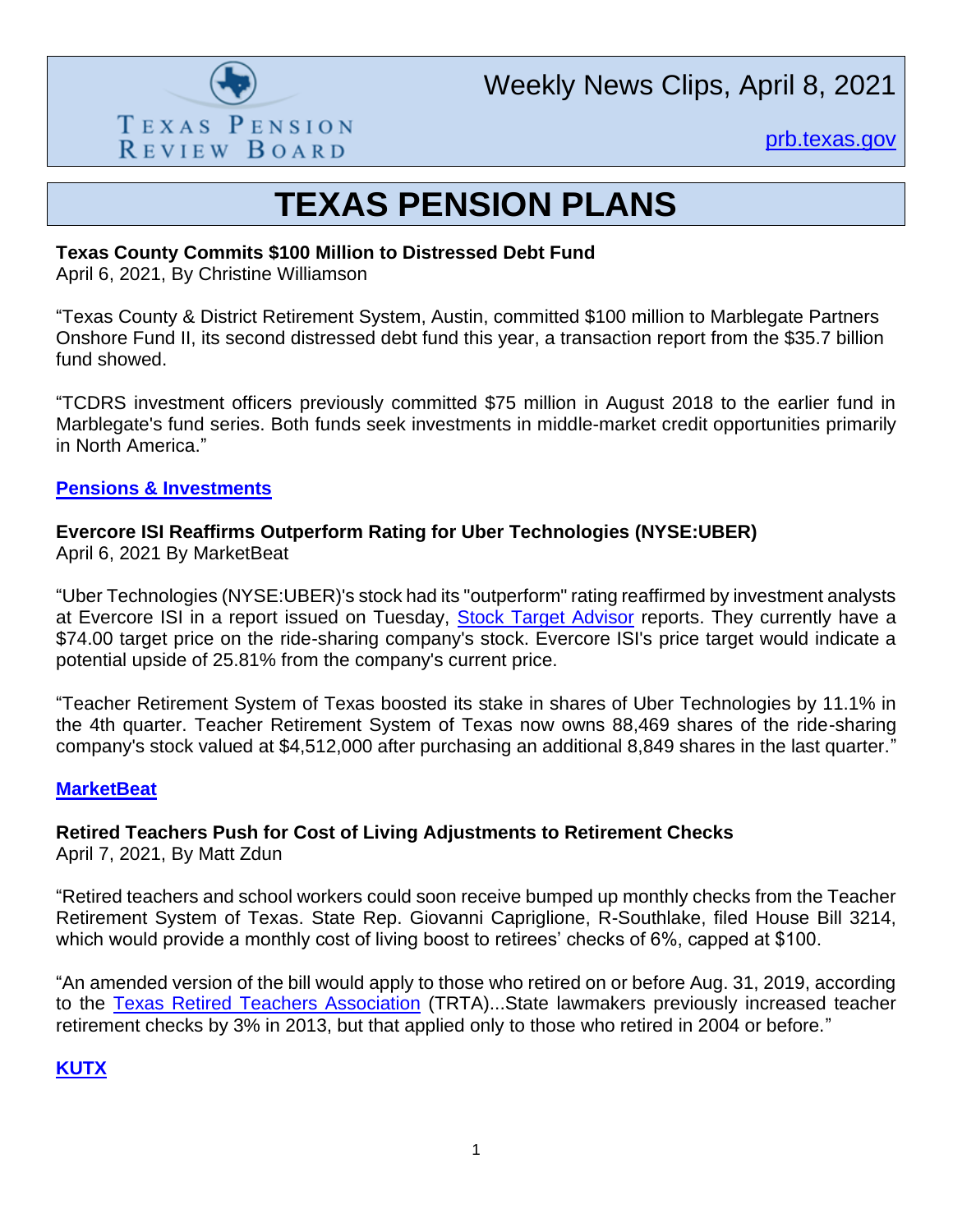

Weekly News Clips, April 8, 2021

[prb.texas.gov](http://www.prb.texas.gov/)

## **TEXAS PENSION PLANS**

#### **Texas County Commits \$100 Million to Distressed Debt Fund**

April 6, 2021, By Christine Williamson

"Texas County & District Retirement System, Austin, committed \$100 million to Marblegate Partners Onshore Fund II, its second distressed debt fund this year, a transaction report from the \$35.7 billion fund showed.

"TCDRS investment officers previously committed \$75 million in August 2018 to the earlier fund in Marblegate's fund series. Both funds seek investments in middle-market credit opportunities primarily in North America."

#### **[Pensions & Investments](https://www.pionline.com/searches-and-hires/texas-county-commits-100-million-distressed-debt-fund?adobe_mc=MCMID%3D41884159650771433693420557059774859130%7CMCORGID%3D138FFF2554E6E7220A4C98C6%2540AdobeOrg%7CTS%3D1617810987&CSAuthResp=1%3A%3A409840%3A391%3A24%3Asuccess%3A316E41556E55CE7ADB4974CC90DC80E5)**

## **Evercore ISI Reaffirms Outperform Rating for Uber Technologies (NYSE:UBER)**

April 6, 2021 By MarketBeat

"Uber Technologies (NYSE:UBER)'s stock had its "outperform" rating reaffirmed by investment analysts at Evercore ISI in a report issued on Tuesday, [Stock Target Advisor](http://www.stocktargetadvisor.com/?utm_source=marketbeat&utm_medium=referral) reports. They currently have a \$74.00 target price on the ride-sharing company's stock. Evercore ISI's price target would indicate a potential upside of 25.81% from the company's current price.

"Teacher Retirement System of Texas boosted its stake in shares of Uber Technologies by 11.1% in the 4th quarter. Teacher Retirement System of Texas now owns 88,469 shares of the ride-sharing company's stock valued at \$4,512,000 after purchasing an additional 8,849 shares in the last quarter."

#### **[MarketBeat](https://www.marketbeat.com/instant-alerts/nyse-uber-a-buy-or-sell-right-now-2021-04/)**

## **Retired Teachers Push for Cost of Living Adjustments to Retirement Checks**

April 7, 2021, By Matt Zdun

"Retired teachers and school workers could soon receive bumped up monthly checks from the Teacher Retirement System of Texas. State Rep. Giovanni Capriglione, R-Southlake, filed House Bill 3214, which would provide a monthly cost of living boost to retirees' checks of 6%, capped at \$100.

"An amended version of the bill would apply to those who retired on or before Aug. 31, 2019, according to the [Texas Retired Teachers Association](https://fb.watch/4JYpGRsT2M/) (TRTA)...State lawmakers previously increased teacher retirement checks by 3% in 2013, but that applied only to those who retired in 2004 or before."

## **[KUTX](https://www.kwtx.com/2021/04/07/retired-teachers-push-for-cost-of-living-adjustments-to-retirement-checks/)**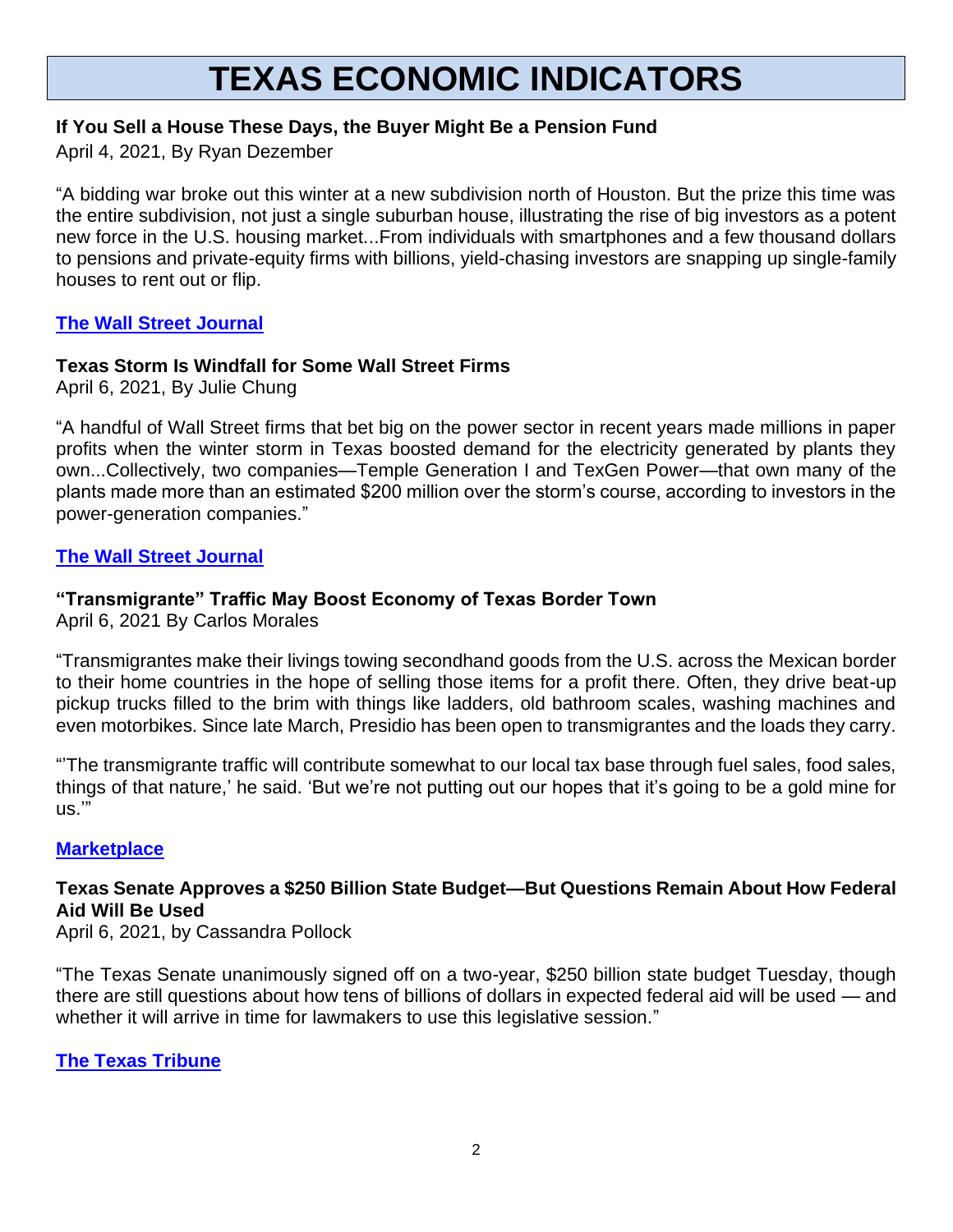# **TEXAS ECONOMIC INDICATORS**

## **If You Sell a House These Days, the Buyer Might Be a Pension Fund**

April 4, 2021, By Ryan Dezember

"A bidding war broke out this winter at a new subdivision north of Houston. But the prize this time was the entire subdivision, not just a single suburban house, illustrating the rise of big investors as a potent new force in the U.S. housing market...From individuals with smartphones and a few thousand dollars to pensions and private-equity firms with billions, yield-chasing investors are snapping up single-family houses to rent out or flip.

## **[The Wall Street Journal](https://www.wsj.com/articles/if-you-sell-a-house-these-days-the-buyer-might-be-a-pension-fund-11617544801)**

## **Texas Storm Is Windfall for Some Wall Street Firms**

April 6, 2021, By Julie Chung

"A handful of Wall Street firms that bet big on the power sector in recent years made millions in paper profits when the winter storm in Texas boosted demand for the electricity generated by plants they own...Collectively, two companies—Temple Generation I and TexGen Power—that own many of the plants made more than an estimated \$200 million over the storm's course, according to investors in the power-generation companies."

## **[The Wall Street Journal](https://www.wsj.com/articles/texas-storm-is-windfall-for-some-wall-street-firms-11617701402)**

## **"Transmigrante" Traffic May Boost Economy of Texas Border Town**

April 6, 2021 By Carlos Morales

"Transmigrantes make their livings towing secondhand goods from the U.S. across the Mexican border to their home countries in the hope of selling those items for a profit there. Often, they drive beat-up pickup trucks filled to the brim with things like ladders, old bathroom scales, washing machines and even motorbikes. Since late March, Presidio has been open to transmigrantes and the loads they carry.

"'The transmigrante traffic will contribute somewhat to our local tax base through fuel sales, food sales, things of that nature,' he said. 'But we're not putting out our hopes that it's going to be a gold mine for us.'"

#### **[Marketplace](https://www.marketplace.org/2021/04/06/transmigrante-traffic-may-boost-economy-of-texas-border-town/)**

## **Texas Senate Approves a \$250 Billion State Budget—But Questions Remain About How Federal Aid Will Be Used**

April 6, 2021, by Cassandra Pollock

"The Texas Senate unanimously signed off on a two-year, \$250 billion state budget Tuesday, though there are still questions about how tens of billions of dollars in expected federal aid will be used — and whether it will arrive in time for lawmakers to use this legislative session."

**[The Texas Tribune](The%20Texas%20Senate%20unanimously%20signed%20off%20on%20a%20two-year,%20$250%20billion%20state%20budget%20Tuesday,%20though%20there%20are%20still%20questions%20about%20how%20tens%20of%20billions%20of%20dollars%20in%20expected%20federal%20aid%20will%20be%20used%20—%20and%20whether%20it%20will%20arrive%20in%20time%20for%20lawmakers%20to%20use%20this%20legislative%20session.)**